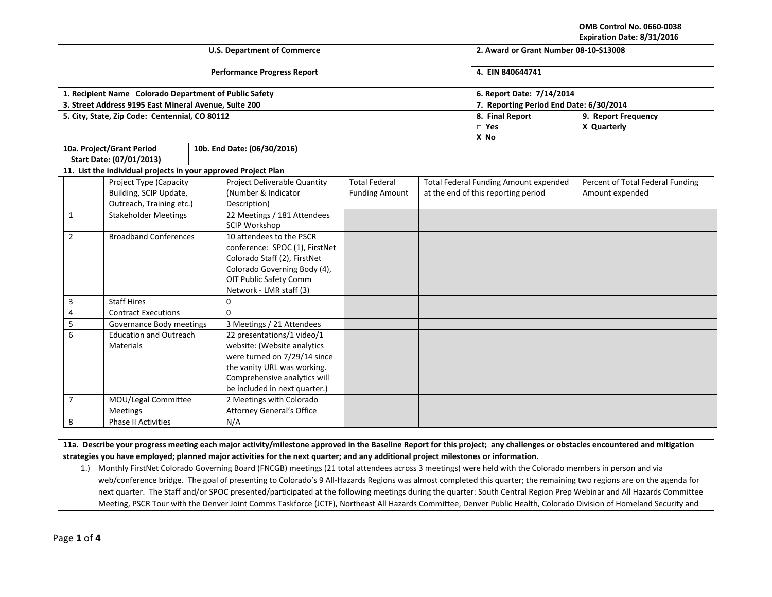**OMB Control No. 0660-0038 Expiration Date: 8/31/2016**

|                |                                                                | <b>U.S. Department of Commerce</b>                  | 2. Award or Grant Number 08-10-S13008 |                                         |                                              |                                  |  |  |
|----------------|----------------------------------------------------------------|-----------------------------------------------------|---------------------------------------|-----------------------------------------|----------------------------------------------|----------------------------------|--|--|
|                |                                                                | <b>Performance Progress Report</b>                  | 4. EIN 840644741                      |                                         |                                              |                                  |  |  |
|                | 1. Recipient Name Colorado Department of Public Safety         |                                                     |                                       |                                         | 6. Report Date: 7/14/2014                    |                                  |  |  |
|                | 3. Street Address 9195 East Mineral Avenue, Suite 200          |                                                     |                                       | 7. Reporting Period End Date: 6/30/2014 |                                              |                                  |  |  |
|                | 5. City, State, Zip Code: Centennial, CO 80112                 |                                                     |                                       |                                         | 8. Final Report                              | 9. Report Frequency              |  |  |
|                |                                                                |                                                     |                                       |                                         | $\Box$ Yes                                   | X Quarterly                      |  |  |
|                |                                                                |                                                     |                                       |                                         | X No                                         |                                  |  |  |
|                | 10a. Project/Grant Period                                      | 10b. End Date: (06/30/2016)                         |                                       |                                         |                                              |                                  |  |  |
|                | Start Date: (07/01/2013)                                       |                                                     |                                       |                                         |                                              |                                  |  |  |
|                | 11. List the individual projects in your approved Project Plan |                                                     |                                       |                                         |                                              |                                  |  |  |
|                | Project Type (Capacity                                         | Project Deliverable Quantity                        | <b>Total Federal</b>                  |                                         | <b>Total Federal Funding Amount expended</b> | Percent of Total Federal Funding |  |  |
|                | Building, SCIP Update,                                         | (Number & Indicator                                 | <b>Funding Amount</b>                 |                                         | at the end of this reporting period          | Amount expended                  |  |  |
|                | Outreach, Training etc.)                                       | Description)                                        |                                       |                                         |                                              |                                  |  |  |
| $\mathbf{1}$   | <b>Stakeholder Meetings</b>                                    | 22 Meetings / 181 Attendees<br><b>SCIP Workshop</b> |                                       |                                         |                                              |                                  |  |  |
| $\overline{2}$ | <b>Broadband Conferences</b>                                   | 10 attendees to the PSCR                            |                                       |                                         |                                              |                                  |  |  |
|                |                                                                | conference: SPOC (1), FirstNet                      |                                       |                                         |                                              |                                  |  |  |
|                |                                                                | Colorado Staff (2), FirstNet                        |                                       |                                         |                                              |                                  |  |  |
|                |                                                                | Colorado Governing Body (4),                        |                                       |                                         |                                              |                                  |  |  |
|                |                                                                | OIT Public Safety Comm                              |                                       |                                         |                                              |                                  |  |  |
|                |                                                                | Network - LMR staff (3)                             |                                       |                                         |                                              |                                  |  |  |
| 3              | <b>Staff Hires</b>                                             | $\mathbf 0$                                         |                                       |                                         |                                              |                                  |  |  |
| $\overline{4}$ | <b>Contract Executions</b>                                     | $\Omega$                                            |                                       |                                         |                                              |                                  |  |  |
| 5              | Governance Body meetings                                       | 3 Meetings / 21 Attendees                           |                                       |                                         |                                              |                                  |  |  |
| 6              | <b>Education and Outreach</b>                                  | 22 presentations/1 video/1                          |                                       |                                         |                                              |                                  |  |  |
|                | <b>Materials</b>                                               | website: (Website analytics                         |                                       |                                         |                                              |                                  |  |  |
|                |                                                                | were turned on 7/29/14 since                        |                                       |                                         |                                              |                                  |  |  |
|                |                                                                | the vanity URL was working.                         |                                       |                                         |                                              |                                  |  |  |
|                |                                                                | Comprehensive analytics will                        |                                       |                                         |                                              |                                  |  |  |
|                |                                                                | be included in next quarter.)                       |                                       |                                         |                                              |                                  |  |  |
| $\overline{7}$ | MOU/Legal Committee                                            | 2 Meetings with Colorado                            |                                       |                                         |                                              |                                  |  |  |
|                | Meetings                                                       | Attorney General's Office                           |                                       |                                         |                                              |                                  |  |  |
| 8              | <b>Phase II Activities</b>                                     | N/A                                                 |                                       |                                         |                                              |                                  |  |  |

**11a. Describe your progress meeting each major activity/milestone approved in the Baseline Report for this project; any challenges or obstacles encountered and mitigation strategies you have employed; planned major activities for the next quarter; and any additional project milestones or information.**

1.) Monthly FirstNet Colorado Governing Board (FNCGB) meetings (21 total attendees across 3 meetings) were held with the Colorado members in person and via web/conference bridge. The goal of presenting to Colorado's 9 All-Hazards Regions was almost completed this quarter; the remaining two regions are on the agenda for next quarter. The Staff and/or SPOC presented/participated at the following meetings during the quarter: South Central Region Prep Webinar and All Hazards Committee Meeting, PSCR Tour with the Denver Joint Comms Taskforce (JCTF), Northeast All Hazards Committee, Denver Public Health, Colorado Division of Homeland Security and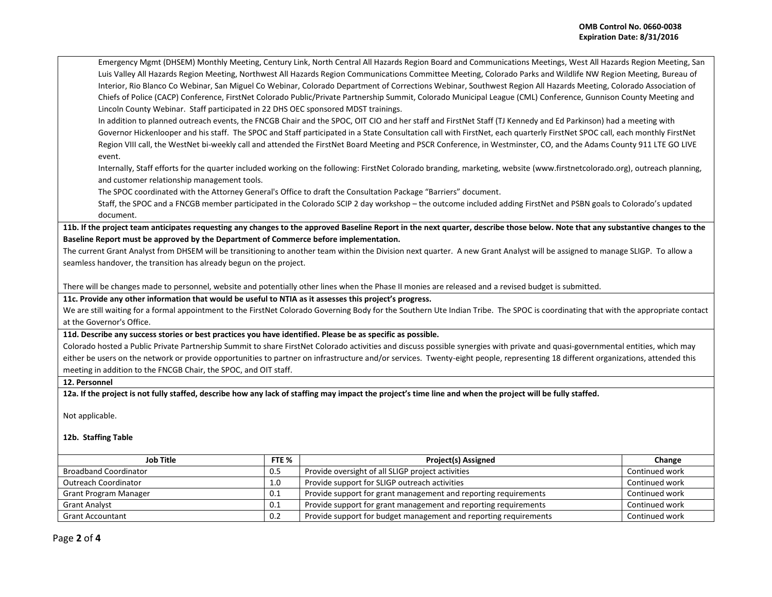Emergency Mgmt (DHSEM) Monthly Meeting, Century Link, North Central All Hazards Region Board and Communications Meetings, West All Hazards Region Meeting, San Luis Valley All Hazards Region Meeting, Northwest All Hazards Region Communications Committee Meeting, Colorado Parks and Wildlife NW Region Meeting, Bureau of Interior, Rio Blanco Co Webinar, San Miguel Co Webinar, Colorado Department of Corrections Webinar, Southwest Region All Hazards Meeting, Colorado Association of Chiefs of Police (CACP) Conference, FirstNet Colorado Public/Private Partnership Summit, Colorado Municipal League (CML) Conference, Gunnison County Meeting and Lincoln County Webinar. Staff participated in 22 DHS OEC sponsored MDST trainings.

In addition to planned outreach events, the FNCGB Chair and the SPOC, OIT CIO and her staff and FirstNet Staff (TJ Kennedy and Ed Parkinson) had a meeting with Governor Hickenlooper and his staff. The SPOC and Staff participated in a State Consultation call with FirstNet, each quarterly FirstNet SPOC call, each monthly FirstNet Region VIII call, the WestNet bi-weekly call and attended the FirstNet Board Meeting and PSCR Conference, in Westminster, CO, and the Adams County 911 LTE GO LIVE event.

Internally, Staff efforts for the quarter included working on the following: FirstNet Colorado branding, marketing, website (www.firstnetcolorado.org), outreach planning, and customer relationship management tools.

The SPOC coordinated with the Attorney General's Office to draft the Consultation Package "Barriers" document.

Staff, the SPOC and a FNCGB member participated in the Colorado SCIP 2 day workshop – the outcome included adding FirstNet and PSBN goals to Colorado's updated document.

**11b. If the project team anticipates requesting any changes to the approved Baseline Report in the next quarter, describe those below. Note that any substantive changes to the Baseline Report must be approved by the Department of Commerce before implementation.** 

The current Grant Analyst from DHSEM will be transitioning to another team within the Division next quarter. A new Grant Analyst will be assigned to manage SLIGP. To allow a seamless handover, the transition has already begun on the project.

There will be changes made to personnel, website and potentially other lines when the Phase II monies are released and a revised budget is submitted.

**11c. Provide any other information that would be useful to NTIA as it assesses this project's progress.** 

We are still waiting for a formal appointment to the FirstNet Colorado Governing Body for the Southern Ute Indian Tribe. The SPOC is coordinating that with the appropriate contact at the Governor's Office.

**11d. Describe any success stories or best practices you have identified. Please be as specific as possible.**

Colorado hosted a Public Private Partnership Summit to share FirstNet Colorado activities and discuss possible synergies with private and quasi-governmental entities, which may either be users on the network or provide opportunities to partner on infrastructure and/or services. Twenty-eight people, representing 18 different organizations, attended this meeting in addition to the FNCGB Chair, the SPOC, and OIT staff.

## **12. Personnel**

**12a. If the project is not fully staffed, describe how any lack of staffing may impact the project's time line and when the project will be fully staffed.**

Not applicable.

## **12b. Staffing Table**

| <b>Job Title</b>             | FTE % | <b>Project(s) Assigned</b>                                       | Change         |
|------------------------------|-------|------------------------------------------------------------------|----------------|
| <b>Broadband Coordinator</b> |       | Provide oversight of all SLIGP project activities                | Continued work |
| <b>Outreach Coordinator</b>  |       | Provide support for SLIGP outreach activities                    | Continued work |
| Grant Program Manager        |       | Provide support for grant management and reporting requirements  | Continued work |
| <b>Grant Analyst</b>         |       | Provide support for grant management and reporting requirements  | Continued work |
| <b>Grant Accountant</b>      |       | Provide support for budget management and reporting requirements | Continued work |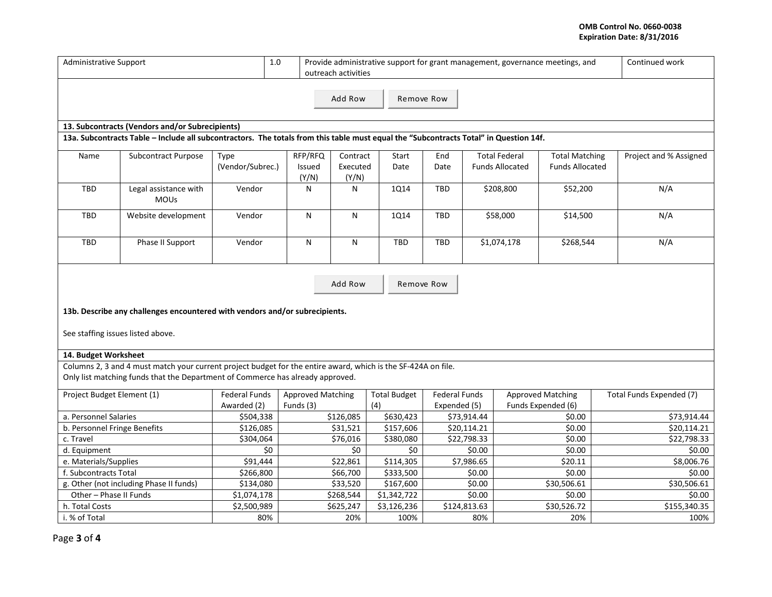## **OMB Control No. 0660-0038 Expiration Date: 8/31/2016**

| <b>Administrative Support</b>                                                                                                         |                                                                                                               |                                     | $1.0\,$<br>Provide administrative support for grant management, governance meetings, and<br>outreach activities |                               |                            |                                      |          |                                                |                                                 | Continued work           |
|---------------------------------------------------------------------------------------------------------------------------------------|---------------------------------------------------------------------------------------------------------------|-------------------------------------|-----------------------------------------------------------------------------------------------------------------|-------------------------------|----------------------------|--------------------------------------|----------|------------------------------------------------|-------------------------------------------------|--------------------------|
| Add Row<br>Remove Row                                                                                                                 |                                                                                                               |                                     |                                                                                                                 |                               |                            |                                      |          |                                                |                                                 |                          |
|                                                                                                                                       | 13. Subcontracts (Vendors and/or Subrecipients)                                                               |                                     |                                                                                                                 |                               |                            |                                      |          |                                                |                                                 |                          |
| 13a. Subcontracts Table - Include all subcontractors. The totals from this table must equal the "Subcontracts Total" in Question 14f. |                                                                                                               |                                     |                                                                                                                 |                               |                            |                                      |          |                                                |                                                 |                          |
| Name                                                                                                                                  | <b>Subcontract Purpose</b>                                                                                    | Type<br>(Vendor/Subrec.)            | RFP/RFQ<br>Issued<br>(Y/N)                                                                                      | Contract<br>Executed<br>(Y/N) | Start<br>Date              | End<br>Date                          |          | <b>Total Federal</b><br><b>Funds Allocated</b> | <b>Total Matching</b><br><b>Funds Allocated</b> | Project and % Assigned   |
| <b>TBD</b>                                                                                                                            | Legal assistance with<br><b>MOUs</b>                                                                          | Vendor                              |                                                                                                                 | N                             | 1Q14                       | TBD                                  |          | \$208,800                                      | \$52,200                                        | N/A                      |
| <b>TBD</b>                                                                                                                            | Vendor<br>Website development                                                                                 |                                     | N                                                                                                               | N                             | <b>1Q14</b>                | <b>TBD</b>                           | \$58,000 |                                                | \$14,500                                        | N/A                      |
| TBD                                                                                                                                   | Phase II Support                                                                                              | Vendor                              | N                                                                                                               | N                             | <b>TBD</b>                 | TBD                                  |          | \$1,074,178                                    | \$268,544                                       | N/A                      |
| Add Row<br>Remove Row<br>13b. Describe any challenges encountered with vendors and/or subrecipients.                                  |                                                                                                               |                                     |                                                                                                                 |                               |                            |                                      |          |                                                |                                                 |                          |
| See staffing issues listed above.                                                                                                     |                                                                                                               |                                     |                                                                                                                 |                               |                            |                                      |          |                                                |                                                 |                          |
| 14. Budget Worksheet                                                                                                                  |                                                                                                               |                                     |                                                                                                                 |                               |                            |                                      |          |                                                |                                                 |                          |
|                                                                                                                                       | Columns 2, 3 and 4 must match your current project budget for the entire award, which is the SF-424A on file. |                                     |                                                                                                                 |                               |                            |                                      |          |                                                |                                                 |                          |
|                                                                                                                                       | Only list matching funds that the Department of Commerce has already approved.                                |                                     |                                                                                                                 |                               |                            |                                      |          |                                                |                                                 |                          |
| Project Budget Element (1)                                                                                                            |                                                                                                               | <b>Federal Funds</b><br>Awarded (2) | <b>Approved Matching</b><br>Funds (3)                                                                           |                               | <b>Total Budget</b><br>(4) | <b>Federal Funds</b><br>Expended (5) |          | <b>Approved Matching</b><br>Funds Expended (6) |                                                 | Total Funds Expended (7) |
| a. Personnel Salaries                                                                                                                 |                                                                                                               | \$504,338                           | \$126,085                                                                                                       |                               | \$630,423                  | \$73,914.44                          |          | \$0.00                                         |                                                 | \$73,914.44              |
| b. Personnel Fringe Benefits                                                                                                          |                                                                                                               | \$126,085                           | \$31,521                                                                                                        |                               | \$157,606                  | \$20,114.21                          |          | \$0.00                                         |                                                 | \$20,114.21              |
| c. Travel                                                                                                                             |                                                                                                               | \$304,064                           | \$76,016                                                                                                        |                               | \$380,080                  | \$22,798.33                          |          | \$0.00                                         |                                                 | \$22,798.33              |
| d. Equipment                                                                                                                          |                                                                                                               | \$0                                 | \$0                                                                                                             |                               | \$0                        | \$0.00                               |          | \$0.00                                         |                                                 | \$0.00                   |
| e. Materials/Supplies                                                                                                                 |                                                                                                               | \$91,444                            | \$22,861                                                                                                        |                               | \$114,305                  | \$7,986.65                           |          | \$20.11                                        |                                                 | \$8,006.76               |
| f. Subcontracts Total                                                                                                                 |                                                                                                               | \$266,800                           | \$66,700                                                                                                        |                               | \$333,500                  | \$0.00                               |          | \$0.00                                         |                                                 | \$0.00                   |
| g. Other (not including Phase II funds)                                                                                               |                                                                                                               | \$134,080                           | \$33,520                                                                                                        |                               | \$167,600                  | \$0.00                               |          | \$30,506.61                                    |                                                 | \$30,506.61              |
| Other - Phase II Funds                                                                                                                |                                                                                                               | \$1,074,178                         | \$268,544                                                                                                       |                               | \$1,342,722                | \$0.00                               |          | \$0.00                                         |                                                 | \$0.00                   |
| h. Total Costs                                                                                                                        |                                                                                                               | \$2,500,989                         | \$625,247                                                                                                       |                               | \$3,126,236                | \$124,813.63                         |          | \$30,526.72                                    |                                                 | \$155,340.35             |
| i. % of Total                                                                                                                         |                                                                                                               | 80%                                 |                                                                                                                 | 20%                           | 100%                       |                                      | 80%      |                                                | 20%                                             | 100%                     |